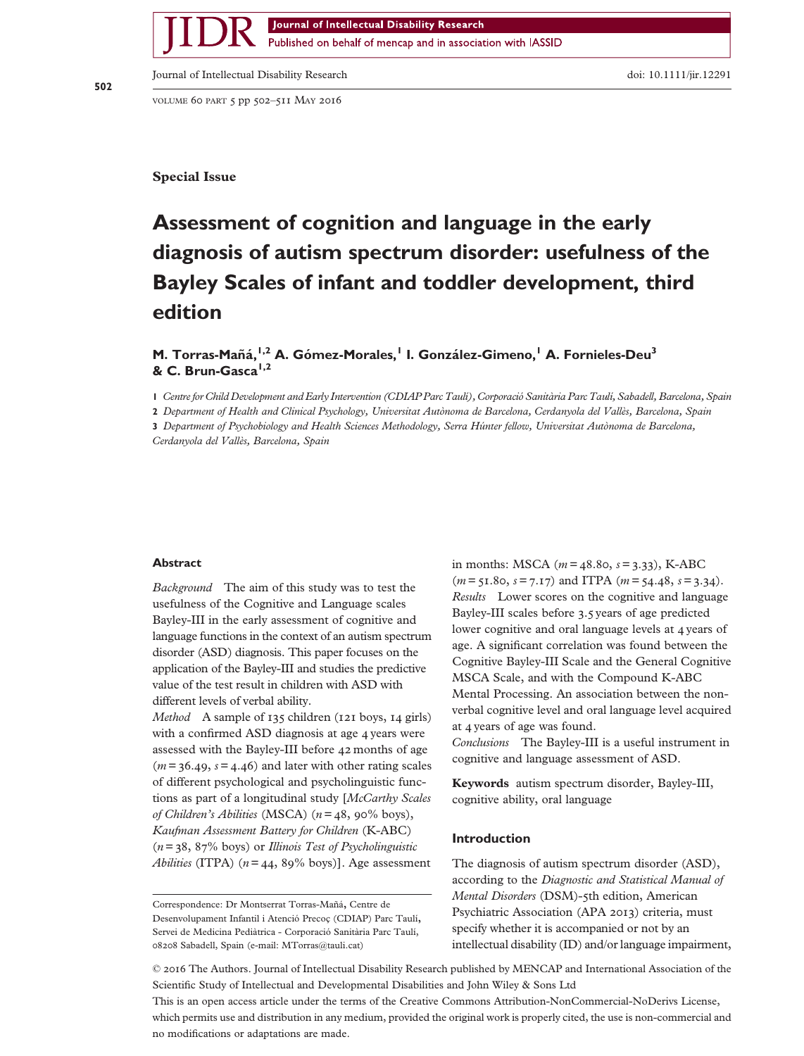Journal of Intellectual Disability Research Published on behalf of mencap and in association with IASSID

Journal of Intellectual Disability Research doi: 10.1111/jir.12291

VOLUME 60 PART 5 pp 502–511 MAY 2016

## Special Issue

# Assessment of cognition and language in the early diagnosis of autism spectrum disorder: usefulness of the Bayley Scales of infant and toddler development, third edition

# M. Torras-Mañá, <sup>1,2</sup> A. Gómez-Morales,<sup>1</sup> I. González-Gimeno,<sup>1</sup> A. Fornieles-Deu<sup>3</sup>  $& C.$  Brun-Gasca<sup>1,2</sup>

1 Centre for Child Development and Early Intervention (CDIAP Parc Taulí), Corporació Sanitària Parc Taulí, Sabadell, Barcelona, Spain

2 Department of Health and Clinical Psychology, Universitat Autònoma de Barcelona, Cerdanyola del Vallès, Barcelona, Spain

3 Department of Psychobiology and Health Sciences Methodology, Serra Húnter fellow, Universitat Autònoma de Barcelona, Cerdanyola del Vallès, Barcelona, Spain

#### **Abstract**

Background The aim of this study was to test the usefulness of the Cognitive and Language scales Bayley-III in the early assessment of cognitive and language functions in the context of an autism spectrum disorder (ASD) diagnosis. This paper focuses on the application of the Bayley-III and studies the predictive value of the test result in children with ASD with different levels of verbal ability.

Method A sample of 135 children (121 boys, 14 girls) with a confirmed ASD diagnosis at age 4 years were assessed with the Bayley-III before 42 months of age  $(m = 36.49, s = 4.46)$  and later with other rating scales of different psychological and psycholinguistic functions as part of a longitudinal study [McCarthy Scales of Children's Abilities (MSCA) ( $n = 48$ , 90% boys), Kaufman Assessment Battery for Children (K-ABC)  $(n=38, 87\%)$  boys) or Illinois Test of Psycholinguistic *Abilities* (ITPA)  $(n = 44, 89\%$  boys)]. Age assessment

in months: MSCA  $(m = 48.80, s = 3.33)$ , K-ABC  $(m = 51.80, s = 7.17)$  and ITPA  $(m = 54.48, s = 3.34)$ . Results Lower scores on the cognitive and language Bayley-III scales before 3.5 years of age predicted lower cognitive and oral language levels at 4 years of age. A significant correlation was found between the Cognitive Bayley-III Scale and the General Cognitive MSCA Scale, and with the Compound K-ABC Mental Processing. An association between the nonverbal cognitive level and oral language level acquired at 4 years of age was found.

Conclusions The Bayley-III is a useful instrument in cognitive and language assessment of ASD.

Keywords autism spectrum disorder, Bayley-III, cognitive ability, oral language

#### Introduction

The diagnosis of autism spectrum disorder (ASD), according to the Diagnostic and Statistical Manual of Mental Disorders (DSM)-5th edition, American Psychiatric Association (APA 2013) criteria, must specify whether it is accompanied or not by an intellectual disability (ID) and/or language impairment,

This is an open access article under the terms of the [Creative Commons Attribution-NonCommercial-NoDerivs](http://creativecommons.org/licenses/by-nc-nd/4.0/) License, which permits use and distribution in any medium, provided the original work is properly cited, the use is non-commercial and no modifications or adaptations are made.

bs\_bs\_banner

Correspondence: Dr Montserrat Torras-Mañá, Centre de Desenvolupament Infantil i Atenció Precoç (CDIAP) Parc Taulí, Servei de Medicina Pediàtrica - Corporació Sanitària Parc Taulí, 08208 Sabadell, Spain (e-mail: MTorras@tauli.cat)

<sup>©</sup> 2016 The Authors. Journal of Intellectual Disability Research published by MENCAP and International Association of the Scientific Study of Intellectual and Developmental Disabilities and John Wiley & Sons Ltd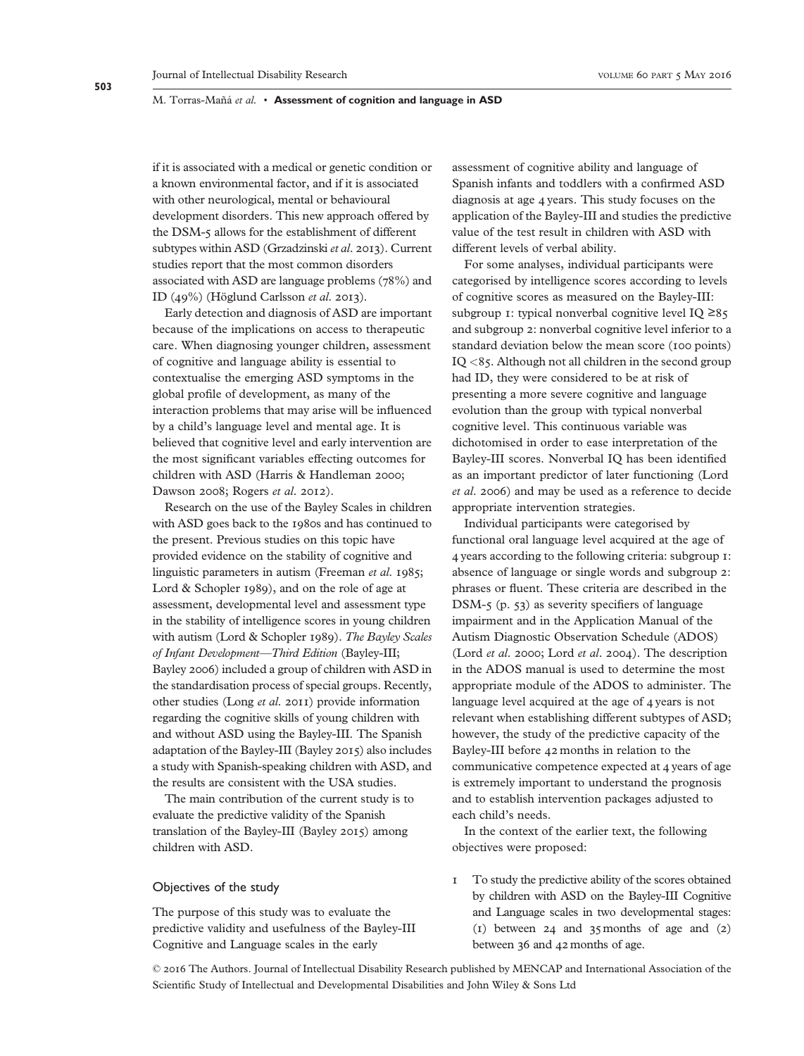if it is associated with a medical or genetic condition or a known environmental factor, and if it is associated with other neurological, mental or behavioural development disorders. This new approach offered by the DSM-5 allows for the establishment of different subtypes within ASD (Grzadzinski et al. 2013). Current studies report that the most common disorders associated with ASD are language problems (78%) and ID (49%) (Höglund Carlsson et al. 2013).

Early detection and diagnosis of ASD are important because of the implications on access to therapeutic care. When diagnosing younger children, assessment of cognitive and language ability is essential to contextualise the emerging ASD symptoms in the global profile of development, as many of the interaction problems that may arise will be influenced by a child's language level and mental age. It is believed that cognitive level and early intervention are the most significant variables effecting outcomes for children with ASD (Harris & Handleman 2000; Dawson 2008; Rogers et al. 2012).

Research on the use of the Bayley Scales in children with ASD goes back to the 1980s and has continued to the present. Previous studies on this topic have provided evidence on the stability of cognitive and linguistic parameters in autism (Freeman et al. 1985; Lord & Schopler 1989), and on the role of age at assessment, developmental level and assessment type in the stability of intelligence scores in young children with autism (Lord & Schopler 1989). The Bayley Scales of Infant Development—Third Edition (Bayley-III; Bayley 2006) included a group of children with ASD in the standardisation process of special groups. Recently, other studies (Long et al. 2011) provide information regarding the cognitive skills of young children with and without ASD using the Bayley-III. The Spanish adaptation of the Bayley-III (Bayley 2015) also includes a study with Spanish-speaking children with ASD, and the results are consistent with the USA studies.

The main contribution of the current study is to evaluate the predictive validity of the Spanish translation of the Bayley-III (Bayley 2015) among children with ASD.

### Objectives of the study

The purpose of this study was to evaluate the predictive validity and usefulness of the Bayley-III Cognitive and Language scales in the early

assessment of cognitive ability and language of Spanish infants and toddlers with a confirmed ASD diagnosis at age 4 years. This study focuses on the application of the Bayley-III and studies the predictive value of the test result in children with ASD with different levels of verbal ability.

For some analyses, individual participants were categorised by intelligence scores according to levels of cognitive scores as measured on the Bayley-III: subgroup 1: typical nonverbal cognitive level IO  $\geq 85$ and subgroup 2: nonverbal cognitive level inferior to a standard deviation below the mean score (100 points)  $IQ < 85$ . Although not all children in the second group had ID, they were considered to be at risk of presenting a more severe cognitive and language evolution than the group with typical nonverbal cognitive level. This continuous variable was dichotomised in order to ease interpretation of the Bayley-III scores. Nonverbal IQ has been identified as an important predictor of later functioning (Lord et al. 2006) and may be used as a reference to decide appropriate intervention strategies.

Individual participants were categorised by functional oral language level acquired at the age of 4 years according to the following criteria: subgroup 1: absence of language or single words and subgroup 2: phrases or fluent. These criteria are described in the DSM-5 (p. 53) as severity specifiers of language impairment and in the Application Manual of the Autism Diagnostic Observation Schedule (ADOS) (Lord et al. 2000; Lord et al. 2004). The description in the ADOS manual is used to determine the most appropriate module of the ADOS to administer. The language level acquired at the age of 4 years is not relevant when establishing different subtypes of ASD; however, the study of the predictive capacity of the Bayley-III before 42 months in relation to the communicative competence expected at 4 years of age is extremely important to understand the prognosis and to establish intervention packages adjusted to each child's needs.

In the context of the earlier text, the following objectives were proposed:

1 To study the predictive ability of the scores obtained by children with ASD on the Bayley-III Cognitive and Language scales in two developmental stages: (1) between  $24$  and  $35$  months of age and  $(2)$ between 36 and 42 months of age.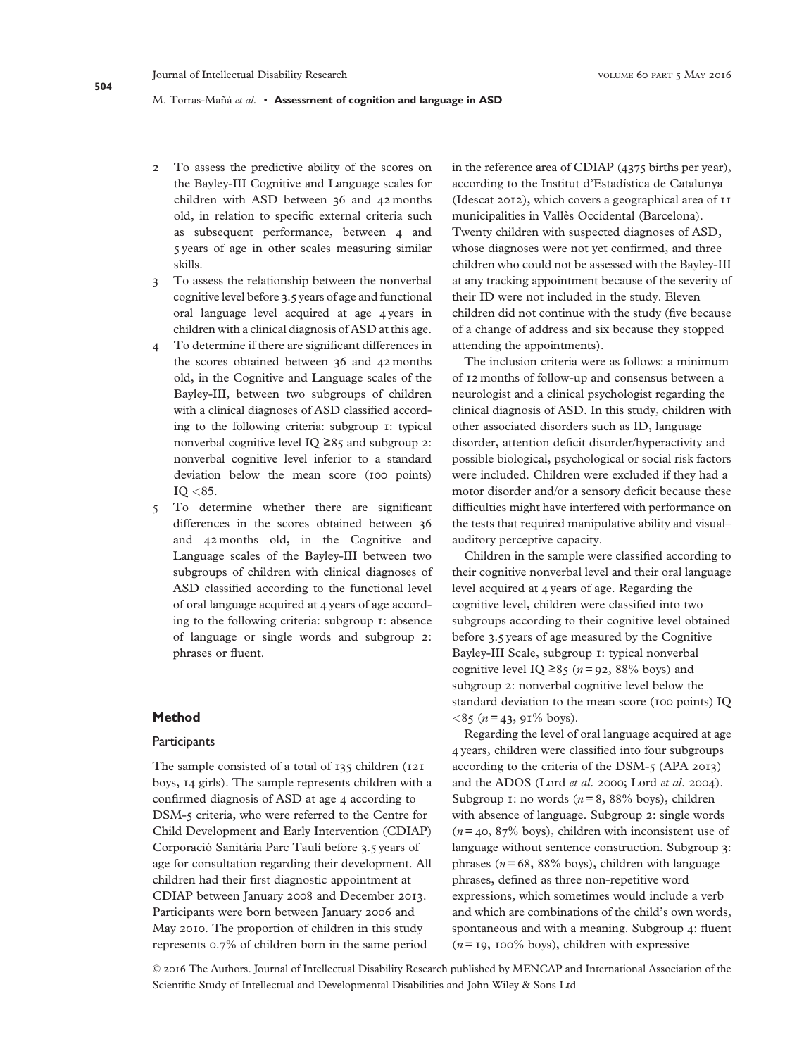- 2 To assess the predictive ability of the scores on the Bayley-III Cognitive and Language scales for children with ASD between 36 and 42 months old, in relation to specific external criteria such as subsequent performance, between 4 and 5 years of age in other scales measuring similar skills.
- 3 To assess the relationship between the nonverbal cognitive level before 3.5 years of age and functional oral language level acquired at age 4 years in children with a clinical diagnosis of ASD at this age.
- 4 To determine if there are significant differences in the scores obtained between 36 and 42 months old, in the Cognitive and Language scales of the Bayley-III, between two subgroups of children with a clinical diagnoses of ASD classified according to the following criteria: subgroup 1: typical nonverbal cognitive level  $IQ \geq 85$  and subgroup 2: nonverbal cognitive level inferior to a standard deviation below the mean score (100 points) IQ <85.
- 5 To determine whether there are significant differences in the scores obtained between 36 and 42 months old, in the Cognitive and Language scales of the Bayley-III between two subgroups of children with clinical diagnoses of ASD classified according to the functional level of oral language acquired at 4 years of age according to the following criteria: subgroup 1: absence of language or single words and subgroup 2: phrases or fluent.

#### Method

#### **Participants**

The sample consisted of a total of 135 children (121 boys, 14 girls). The sample represents children with a confirmed diagnosis of ASD at age 4 according to DSM-5 criteria, who were referred to the Centre for Child Development and Early Intervention (CDIAP) Corporació Sanitària Parc Taulí before 3.5 years of age for consultation regarding their development. All children had their first diagnostic appointment at CDIAP between January 2008 and December 2013. Participants were born between January 2006 and May 2010. The proportion of children in this study represents 0.7% of children born in the same period

in the reference area of CDIAP (4375 births per year), according to the Institut d'Estadística de Catalunya (Idescat 2012), which covers a geographical area of 11 municipalities in Vallès Occidental (Barcelona). Twenty children with suspected diagnoses of ASD, whose diagnoses were not yet confirmed, and three children who could not be assessed with the Bayley-III at any tracking appointment because of the severity of their ID were not included in the study. Eleven children did not continue with the study (five because of a change of address and six because they stopped attending the appointments).

The inclusion criteria were as follows: a minimum of 12 months of follow-up and consensus between a neurologist and a clinical psychologist regarding the clinical diagnosis of ASD. In this study, children with other associated disorders such as ID, language disorder, attention deficit disorder/hyperactivity and possible biological, psychological or social risk factors were included. Children were excluded if they had a motor disorder and/or a sensory deficit because these difficulties might have interfered with performance on the tests that required manipulative ability and visual– auditory perceptive capacity.

Children in the sample were classified according to their cognitive nonverbal level and their oral language level acquired at 4 years of age. Regarding the cognitive level, children were classified into two subgroups according to their cognitive level obtained before 3.5 years of age measured by the Cognitive Bayley-III Scale, subgroup 1: typical nonverbal cognitive level IQ ≥85 ( $n = 92$ , 88% boys) and subgroup 2: nonverbal cognitive level below the standard deviation to the mean score (100 points) IQ  $< 85$  ( $n = 43$ , 91% boys).

Regarding the level of oral language acquired at age 4 years, children were classified into four subgroups according to the criteria of the DSM-5 (APA 2013) and the ADOS (Lord et al. 2000; Lord et al. 2004). Subgroup 1: no words ( $n = 8$ , 88% boys), children with absence of language. Subgroup 2: single words  $(n = 40, 87\%)$  boys), children with inconsistent use of language without sentence construction. Subgroup 3: phrases ( $n = 68$ , 88% boys), children with language phrases, defined as three non-repetitive word expressions, which sometimes would include a verb and which are combinations of the child's own words, spontaneous and with a meaning. Subgroup 4: fluent  $(n = 19, 100\%$  boys), children with expressive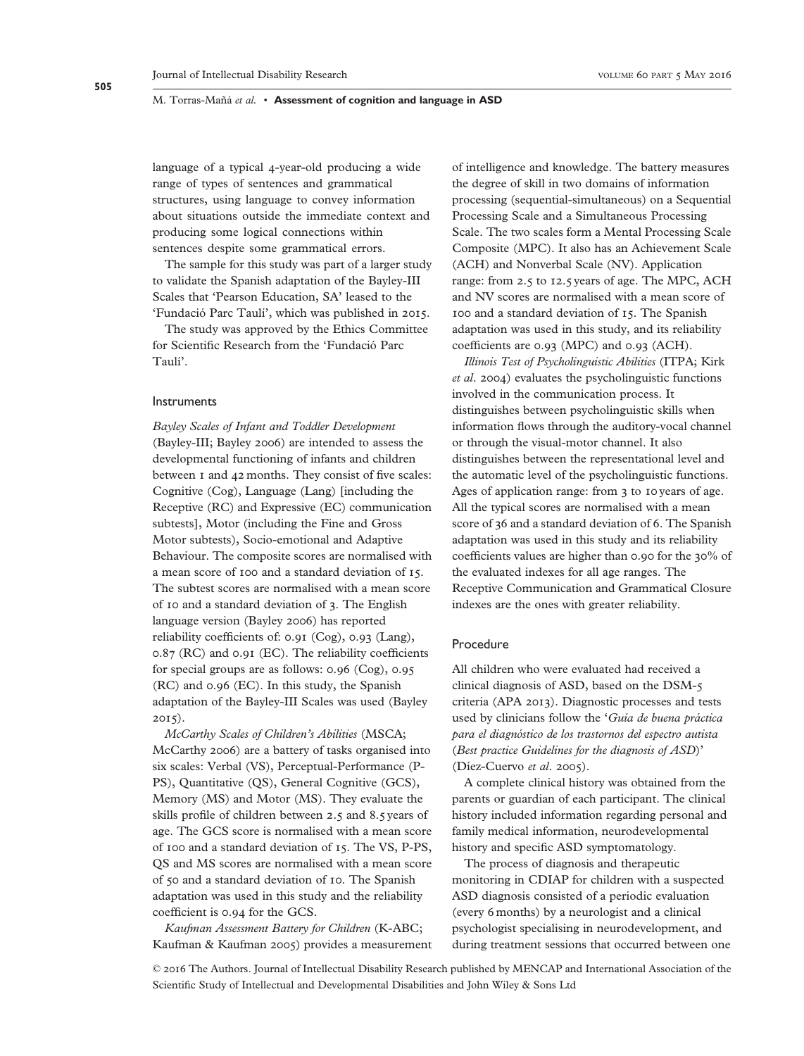language of a typical 4-year-old producing a wide range of types of sentences and grammatical structures, using language to convey information about situations outside the immediate context and producing some logical connections within sentences despite some grammatical errors.

The sample for this study was part of a larger study to validate the Spanish adaptation of the Bayley-III Scales that 'Pearson Education, SA' leased to the 'Fundació Parc Taulí', which was published in 2015.

The study was approved by the Ethics Committee for Scientific Research from the 'Fundació Parc Taulí'.

#### **Instruments**

Bayley Scales of Infant and Toddler Development (Bayley-III; Bayley 2006) are intended to assess the developmental functioning of infants and children between 1 and 42 months. They consist of five scales: Cognitive (Cog), Language (Lang) [including the Receptive (RC) and Expressive (EC) communication subtests], Motor (including the Fine and Gross Motor subtests), Socio-emotional and Adaptive Behaviour. The composite scores are normalised with a mean score of 100 and a standard deviation of 15. The subtest scores are normalised with a mean score of 10 and a standard deviation of 3. The English language version (Bayley 2006) has reported reliability coefficients of: 0.91 (Cog), 0.93 (Lang), 0.87 (RC) and 0.91 (EC). The reliability coefficients for special groups are as follows: 0.96 (Cog), 0.95 (RC) and 0.96 (EC). In this study, the Spanish adaptation of the Bayley-III Scales was used (Bayley 2015).

McCarthy Scales of Children's Abilities (MSCA; McCarthy 2006) are a battery of tasks organised into six scales: Verbal (VS), Perceptual-Performance (P-PS), Quantitative (QS), General Cognitive (GCS), Memory (MS) and Motor (MS). They evaluate the skills profile of children between 2.5 and 8.5 years of age. The GCS score is normalised with a mean score of 100 and a standard deviation of 15. The VS, P-PS, QS and MS scores are normalised with a mean score of 50 and a standard deviation of 10. The Spanish adaptation was used in this study and the reliability coefficient is 0.94 for the GCS.

Kaufman Assessment Battery for Children (K-ABC; Kaufman & Kaufman 2005) provides a measurement of intelligence and knowledge. The battery measures the degree of skill in two domains of information processing (sequential-simultaneous) on a Sequential Processing Scale and a Simultaneous Processing Scale. The two scales form a Mental Processing Scale Composite (MPC). It also has an Achievement Scale (ACH) and Nonverbal Scale (NV). Application range: from 2.5 to 12.5 years of age. The MPC, ACH and NV scores are normalised with a mean score of 100 and a standard deviation of 15. The Spanish adaptation was used in this study, and its reliability coefficients are 0.93 (MPC) and 0.93 (ACH).

Illinois Test of Psycholinguistic Abilities (ITPA; Kirk et al. 2004) evaluates the psycholinguistic functions involved in the communication process. It distinguishes between psycholinguistic skills when information flows through the auditory-vocal channel or through the visual-motor channel. It also distinguishes between the representational level and the automatic level of the psycholinguistic functions. Ages of application range: from 3 to 10 years of age. All the typical scores are normalised with a mean score of 36 and a standard deviation of 6. The Spanish adaptation was used in this study and its reliability coefficients values are higher than 0.90 for the 30% of the evaluated indexes for all age ranges. The Receptive Communication and Grammatical Closure indexes are the ones with greater reliability.

#### Procedure

All children who were evaluated had received a clinical diagnosis of ASD, based on the DSM-5 criteria (APA 2013). Diagnostic processes and tests used by clinicians follow the 'Guía de buena práctica para el diagnóstico de los trastornos del espectro autista (Best practice Guidelines for the diagnosis of ASD)' (Díez-Cuervo et al. 2005).

A complete clinical history was obtained from the parents or guardian of each participant. The clinical history included information regarding personal and family medical information, neurodevelopmental history and specific ASD symptomatology.

The process of diagnosis and therapeutic monitoring in CDIAP for children with a suspected ASD diagnosis consisted of a periodic evaluation (every 6 months) by a neurologist and a clinical psychologist specialising in neurodevelopment, and during treatment sessions that occurred between one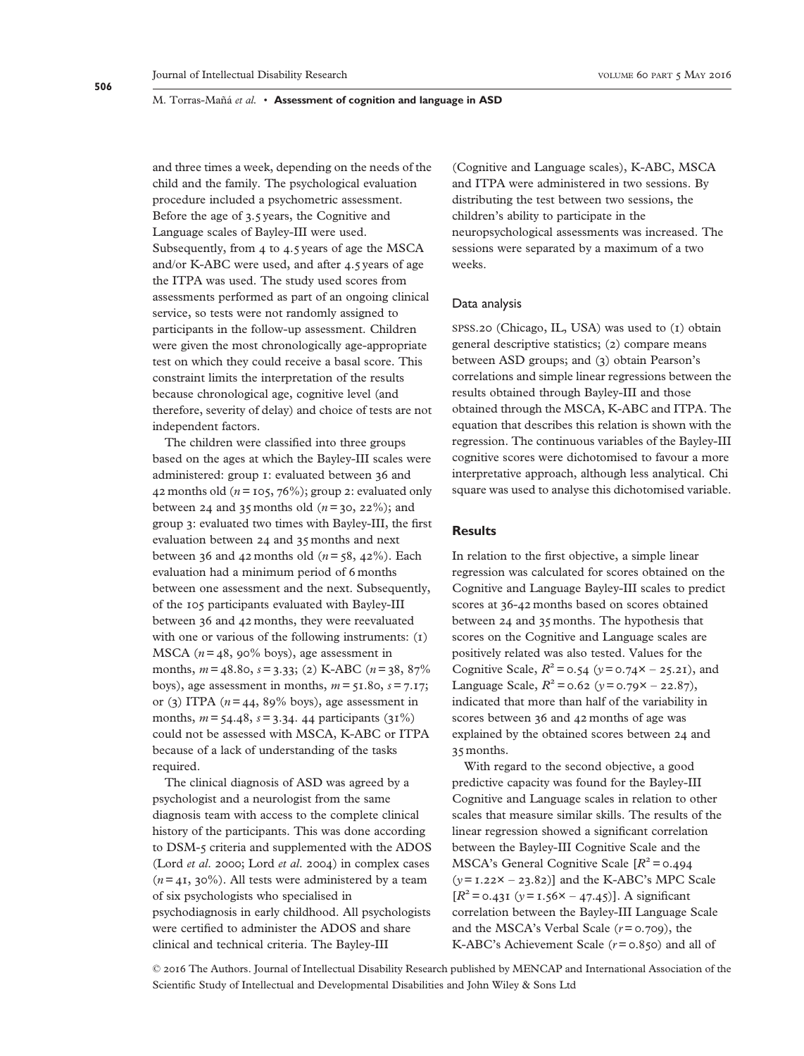and three times a week, depending on the needs of the child and the family. The psychological evaluation procedure included a psychometric assessment. Before the age of 3.5 years, the Cognitive and Language scales of Bayley-III were used. Subsequently, from 4 to 4.5 years of age the MSCA and/or K-ABC were used, and after  $\alpha$ , s vears of age the ITPA was used. The study used scores from assessments performed as part of an ongoing clinical service, so tests were not randomly assigned to participants in the follow-up assessment. Children were given the most chronologically age-appropriate test on which they could receive a basal score. This constraint limits the interpretation of the results because chronological age, cognitive level (and therefore, severity of delay) and choice of tests are not independent factors.

The children were classified into three groups based on the ages at which the Bayley-III scales were administered: group 1: evaluated between 36 and 42 months old ( $n = 105, 76\%$ ); group 2: evaluated only between 24 and 35 months old  $(n = 30, 22\%)$ ; and group 3: evaluated two times with Bayley-III, the first evaluation between 24 and 35 months and next between 36 and 42 months old  $(n = 58, 42\%)$ . Each evaluation had a minimum period of 6 months between one assessment and the next. Subsequently, of the 105 participants evaluated with Bayley-III between 36 and 42 months, they were reevaluated with one or various of the following instruments: (1) MSCA ( $n = 48$ , 90% boys), age assessment in months,  $m = 48.8$ o,  $s = 3.33$ ; (2) K-ABC ( $n = 38, 87\%$ boys), age assessment in months,  $m = 51.80$ ,  $s = 7.17$ ; or (3) ITPA ( $n = 44$ , 89% boys), age assessment in months,  $m = 54.48$ ,  $s = 3.34$ . 44 participants (31%) could not be assessed with MSCA, K-ABC or ITPA because of a lack of understanding of the tasks required.

The clinical diagnosis of ASD was agreed by a psychologist and a neurologist from the same diagnosis team with access to the complete clinical history of the participants. This was done according to DSM-5 criteria and supplemented with the ADOS (Lord et al. 2000; Lord et al. 2004) in complex cases  $(n=41, 30\%)$ . All tests were administered by a team of six psychologists who specialised in psychodiagnosis in early childhood. All psychologists were certified to administer the ADOS and share clinical and technical criteria. The Bayley-III

(Cognitive and Language scales), K-ABC, MSCA and ITPA were administered in two sessions. By distributing the test between two sessions, the children's ability to participate in the neuropsychological assessments was increased. The sessions were separated by a maximum of a two weeks.

#### Data analysis

SPSS.20 (Chicago, IL, USA) was used to (1) obtain general descriptive statistics; (2) compare means between ASD groups; and (3) obtain Pearson's correlations and simple linear regressions between the results obtained through Bayley-III and those obtained through the MSCA, K-ABC and ITPA. The equation that describes this relation is shown with the regression. The continuous variables of the Bayley-III cognitive scores were dichotomised to favour a more interpretative approach, although less analytical. Chi square was used to analyse this dichotomised variable.

#### **Results**

In relation to the first objective, a simple linear regression was calculated for scores obtained on the Cognitive and Language Bayley-III scales to predict scores at 36-42 months based on scores obtained between 24 and 35 months. The hypothesis that scores on the Cognitive and Language scales are positively related was also tested. Values for the Cognitive Scale,  $R^2 = 0.54$  ( $y = 0.74 \times -25.21$ ), and Language Scale,  $R^2 = 0.62$  ( $y = 0.79 \times -22.87$ ), indicated that more than half of the variability in scores between 36 and 42 months of age was explained by the obtained scores between 24 and 35 months.

With regard to the second objective, a good predictive capacity was found for the Bayley-III Cognitive and Language scales in relation to other scales that measure similar skills. The results of the linear regression showed a significant correlation between the Bayley-III Cognitive Scale and the MSCA's General Cognitive Scale  $[R^2 = 0.494]$  $(y=1.22\times -23.82)$ ] and the K-ABC's MPC Scale  $[R^2 = 0.431 \ (y = 1.56 \times -47.45)].$  A significant correlation between the Bayley-III Language Scale and the MSCA's Verbal Scale  $(r=0.709)$ , the K-ABC's Achievement Scale  $(r=0.850)$  and all of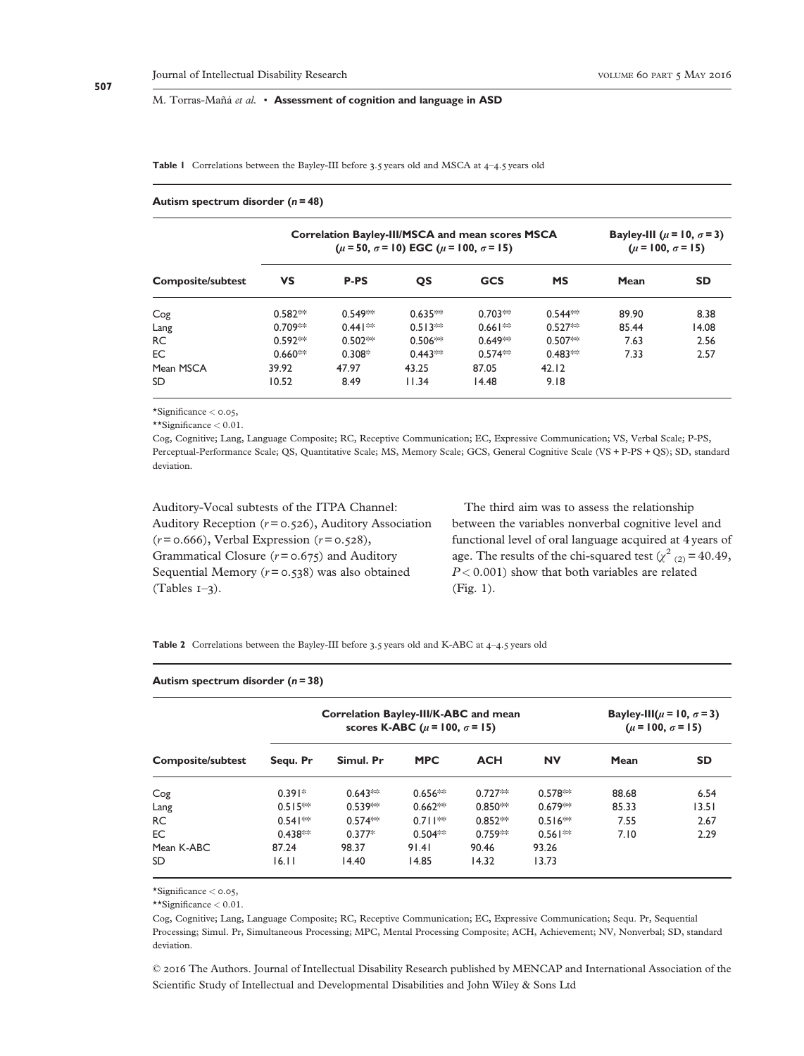Table I Correlations between the Bayley-III before 3.5 years old and MSCA at 4-4.5 years old

#### Autism spectrum disorder  $(n = 48)$

| <b>Composite/subtest</b> |           | <b>Correlation Bayley-III/MSCA and mean scores MSCA</b><br>$(\mu = 50, \sigma = 10)$ EGC $(\mu = 100, \sigma = 15)$ | Bayley-III ( $\mu$ = 10, $\sigma$ = 3)<br>$(\mu = 100, \sigma = 15)$ |            |           |       |           |
|--------------------------|-----------|---------------------------------------------------------------------------------------------------------------------|----------------------------------------------------------------------|------------|-----------|-------|-----------|
|                          | VS        | <b>P-PS</b>                                                                                                         | <b>QS</b>                                                            | <b>GCS</b> | <b>MS</b> | Mean  | <b>SD</b> |
| Cog                      | $0.582**$ | $0.549**$                                                                                                           | $0.635**$                                                            | $0.703**$  | $0.544**$ | 89.90 | 8.38      |
| Lang                     | $0.709**$ | $0.441**$                                                                                                           | $0.513**$                                                            | $0.661**$  | $0.527**$ | 85.44 | 14.08     |
| <b>RC</b>                | $0.592**$ | $0.502**$                                                                                                           | $0.506**$                                                            | $0.649**$  | $0.507**$ | 7.63  | 2.56      |
| EC                       | $0.660**$ | $0.308*$                                                                                                            | $0.443**$                                                            | $0.574**$  | $0.483**$ | 7.33  | 2.57      |
| Mean MSCA                | 39.92     | 47.97                                                                                                               | 43.25                                                                | 87.05      | 42.12     |       |           |
| SD                       | 10.52     | 8.49                                                                                                                | 11.34                                                                | 14.48      | 9.18      |       |           |

\*Significance < 0.05,

\*\*Significance < 0.01.

Cog, Cognitive; Lang, Language Composite; RC, Receptive Communication; EC, Expressive Communication; VS, Verbal Scale; P-PS, Perceptual-Performance Scale; QS, Quantitative Scale; MS, Memory Scale; GCS, General Cognitive Scale (VS + P-PS + QS); SD, standard deviation.

Auditory-Vocal subtests of the ITPA Channel: Auditory Reception  $(r=0.526)$ , Auditory Association  $(r=0.666)$ , Verbal Expression  $(r=0.528)$ , Grammatical Closure  $(r = 0.675)$  and Auditory Sequential Memory  $(r = 0.538)$  was also obtained (Tables 1–3).

The third aim was to assess the relationship between the variables nonverbal cognitive level and functional level of oral language acquired at 4 years of age. The results of the chi-squared test  $(\chi^2)_{(2)} = 40.49$ ,  $P < 0.001$ ) show that both variables are related (Fig. 1).

Table 2 Correlations between the Bayley-III before 3.5 years old and K-ABC at 4-4.5 years old

| Autism spectrum disorder $(n=38)$ |           |                                                                                     |                                                                     |            |           |       |           |  |  |  |
|-----------------------------------|-----------|-------------------------------------------------------------------------------------|---------------------------------------------------------------------|------------|-----------|-------|-----------|--|--|--|
| <b>Composite/subtest</b>          |           | Correlation Bayley-III/K-ABC and mean<br>scores K-ABC ( $\mu$ = 100, $\sigma$ = 15) | Bayley-III( $\mu$ = 10, $\sigma$ = 3)<br>$(\mu = 100, \sigma = 15)$ |            |           |       |           |  |  |  |
|                                   | Sequ. Pr  | Simul. Pr                                                                           | <b>MPC</b>                                                          | <b>ACH</b> | <b>NV</b> | Mean  | <b>SD</b> |  |  |  |
| Cog                               | $0.391*$  | $0.643**$                                                                           | $0.656**$                                                           | $0.727**$  | $0.578**$ | 88.68 | 6.54      |  |  |  |
| Lang                              | $0.515**$ | $0.539**$                                                                           | $0.662**$                                                           | $0.850**$  | $0.679**$ | 85.33 | 13.51     |  |  |  |
| <b>RC</b>                         | $0.541**$ | $0.574**$                                                                           | $0.711**$                                                           | $0.852**$  | $0.516**$ | 7.55  | 2.67      |  |  |  |
| EC.                               | $0.438**$ | $0.377*$                                                                            | $0.504**$                                                           | $0.759**$  | $0.561**$ | 7.10  | 2.29      |  |  |  |
| Mean K-ABC                        | 87.24     | 98.37                                                                               | 91.41                                                               | 90.46      | 93.26     |       |           |  |  |  |
| SD                                | 16.11     | 14.40                                                                               | 14.85                                                               | 14.32      | 13.73     |       |           |  |  |  |

\*Significance < 0.05,

\*\*Significance < 0.01.

Cog, Cognitive; Lang, Language Composite; RC, Receptive Communication; EC, Expressive Communication; Sequ. Pr, Sequential Processing; Simul. Pr, Simultaneous Processing; MPC, Mental Processing Composite; ACH, Achievement; NV, Nonverbal; SD, standard deviation.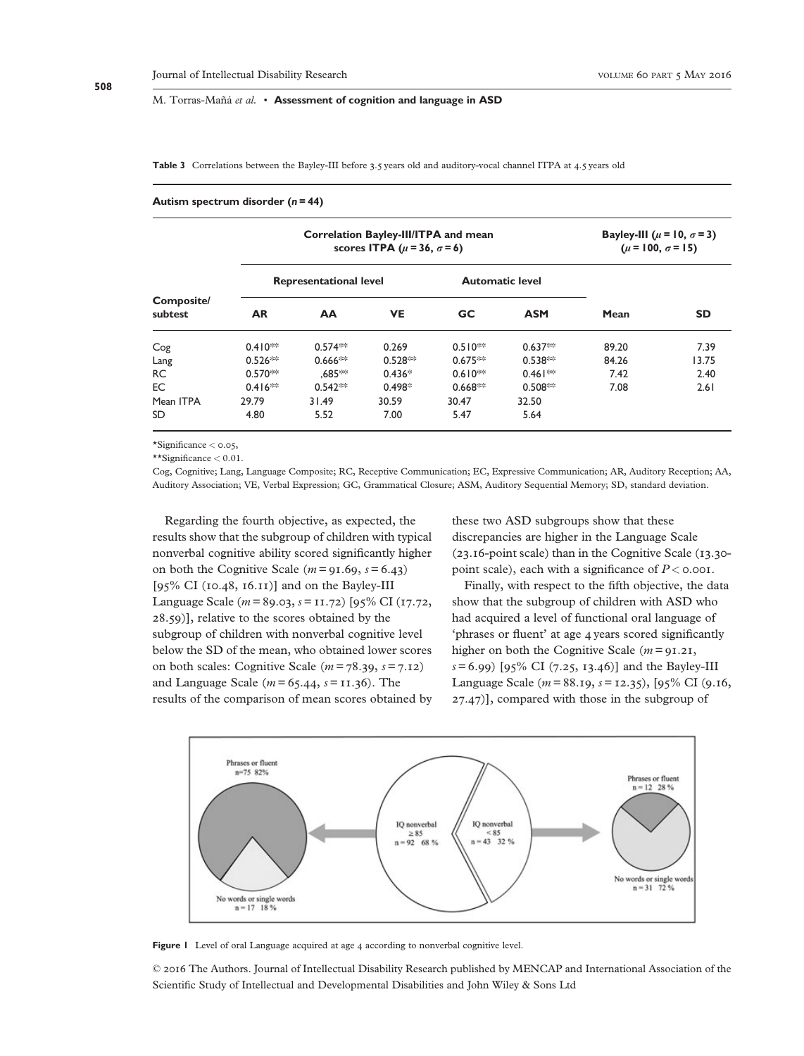Table 3 Correlations between the Bayley-III before 3.5 years old and auditory-vocal channel ITPA at 4.5 years old

#### Autism spectrum disorder  $(n = 44)$

| Composite/<br>subtest |           | Correlation Bayley-III/ITPA and mean<br>scores ITPA ( $\mu$ = 36, $\sigma$ = 6) | Bayley-III ( $\mu$ = 10, $\sigma$ = 3)<br>$(\mu = 100, \sigma = 15)$ |           |                        |       |           |
|-----------------------|-----------|---------------------------------------------------------------------------------|----------------------------------------------------------------------|-----------|------------------------|-------|-----------|
|                       |           | <b>Representational level</b>                                                   |                                                                      |           | <b>Automatic level</b> |       |           |
|                       | <b>AR</b> | AA                                                                              | <b>VE</b>                                                            | <b>GC</b> | <b>ASM</b>             | Mean  | <b>SD</b> |
| Cog                   | $0.410**$ | $0.574**$                                                                       | 0.269                                                                | $0.510**$ | $0.637**$              | 89.20 | 7.39      |
| Lang                  | $0.526**$ | $0.666**$                                                                       | $0.528**$                                                            | $0.675**$ | $0.538**$              | 84.26 | 13.75     |
| <b>RC</b>             | $0.570**$ | .685 <sup>≉≉</sup>                                                              | $0.436*$                                                             | $0.610**$ | $0.461**$              | 7.42  | 2.40      |
| EC                    | $0.416**$ | $0.542**$                                                                       | $0.498*$                                                             | $0.668**$ | $0.508**$              | 7.08  | 2.61      |
| Mean ITPA             | 29.79     | 31.49                                                                           | 30.59                                                                | 30.47     | 32.50                  |       |           |
| <b>SD</b>             | 4.80      | 5.52                                                                            | 7.00                                                                 | 5.47      | 5.64                   |       |           |

\*Significance < 0.05,

\*\*Significance  $< 0.01$ .

Cog, Cognitive; Lang, Language Composite; RC, Receptive Communication; EC, Expressive Communication; AR, Auditory Reception; AA, Auditory Association; VE, Verbal Expression; GC, Grammatical Closure; ASM, Auditory Sequential Memory; SD, standard deviation.

Regarding the fourth objective, as expected, the results show that the subgroup of children with typical nonverbal cognitive ability scored significantly higher on both the Cognitive Scale  $(m = 91.69, s = 6.43)$ [95% CI (10.48, 16.11)] and on the Bayley-III Language Scale ( $m = 89.03$ ,  $s = 11.72$ ) [95% CI (17.72, 28.59)], relative to the scores obtained by the subgroup of children with nonverbal cognitive level below the SD of the mean, who obtained lower scores on both scales: Cognitive Scale ( $m = 78.39$ ,  $s = 7.12$ ) and Language Scale ( $m = 65.44$ ,  $s = 11.36$ ). The results of the comparison of mean scores obtained by these two ASD subgroups show that these discrepancies are higher in the Language Scale (23.16-point scale) than in the Cognitive Scale (13.30 point scale), each with a significance of  $P < 0.001$ .

Finally, with respect to the fifth objective, the data show that the subgroup of children with ASD who had acquired a level of functional oral language of 'phrases or fluent' at age 4 years scored significantly higher on both the Cognitive Scale  $(m = 91.21,$  $s = 6.99$ ) [95% CI (7.25, 13.46)] and the Bayley-III Language Scale ( $m = 88.19$ ,  $s = 12.35$ ), [95% CI (9.16, 27.47)], compared with those in the subgroup of



Figure I Level of oral Language acquired at age 4 according to nonverbal cognitive level.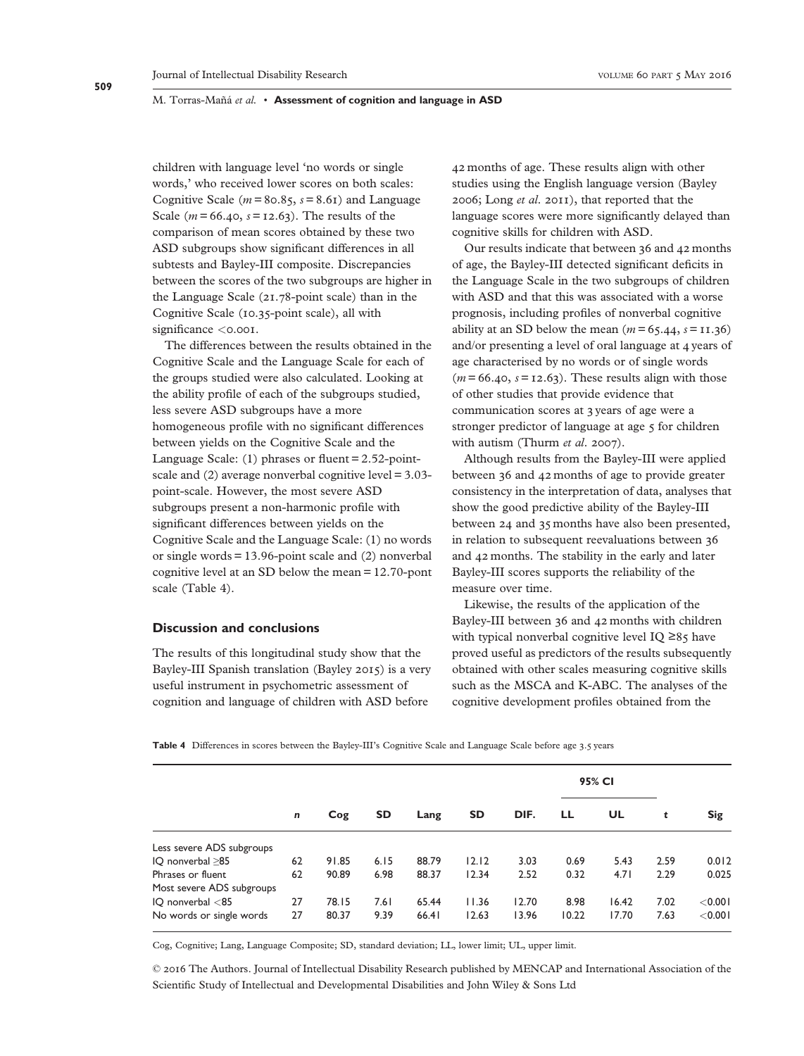children with language level 'no words or single words,' who received lower scores on both scales: Cognitive Scale ( $m = 80.85$ ,  $s = 8.61$ ) and Language Scale ( $m = 66.40$ ,  $s = 12.63$ ). The results of the comparison of mean scores obtained by these two ASD subgroups show significant differences in all subtests and Bayley-III composite. Discrepancies between the scores of the two subgroups are higher in the Language Scale (21.78-point scale) than in the Cognitive Scale (10.35-point scale), all with significance <0.001.

The differences between the results obtained in the Cognitive Scale and the Language Scale for each of the groups studied were also calculated. Looking at the ability profile of each of the subgroups studied, less severe ASD subgroups have a more homogeneous profile with no significant differences between yields on the Cognitive Scale and the Language Scale: (1) phrases or fluent = 2.52-pointscale and  $(2)$  average nonverbal cognitive level = 3.03point-scale. However, the most severe ASD subgroups present a non-harmonic profile with significant differences between yields on the Cognitive Scale and the Language Scale: (1) no words or single words = 13.96-point scale and (2) nonverbal cognitive level at an SD below the mean = 12.70-pont scale (Table 4).

### Discussion and conclusions

The results of this longitudinal study show that the Bayley-III Spanish translation (Bayley 2015) is a very useful instrument in psychometric assessment of cognition and language of children with ASD before

42 months of age. These results align with other studies using the English language version (Bayley 2006; Long et al. 2011), that reported that the language scores were more significantly delayed than cognitive skills for children with ASD.

Our results indicate that between 36 and 42 months of age, the Bayley-III detected significant deficits in the Language Scale in the two subgroups of children with ASD and that this was associated with a worse prognosis, including profiles of nonverbal cognitive ability at an SD below the mean  $(m = 65.44, s = 11.36)$ and/or presenting a level of oral language at 4 years of age characterised by no words or of single words  $(m = 66.40, s = 12.63)$ . These results align with those of other studies that provide evidence that communication scores at 3 years of age were a stronger predictor of language at age 5 for children with autism (Thurm et al. 2007).

Although results from the Bayley-III were applied between 36 and 42 months of age to provide greater consistency in the interpretation of data, analyses that show the good predictive ability of the Bayley-III between 24 and 35 months have also been presented, in relation to subsequent reevaluations between 36 and 42 months. The stability in the early and later Bayley-III scores supports the reliability of the measure over time.

Likewise, the results of the application of the Bayley-III between 36 and 42 months with children with typical nonverbal cognitive level IQ  $\geq$ 85 have proved useful as predictors of the results subsequently obtained with other scales measuring cognitive skills such as the MSCA and K-ABC. The analyses of the cognitive development profiles obtained from the

Table 4 Differences in scores between the Bayley-III's Cognitive Scale and Language Scale before age 3.5 years

|                           |             |       |           |       |           |       | 95% CI |       |      |            |
|---------------------------|-------------|-------|-----------|-------|-----------|-------|--------|-------|------|------------|
|                           | $\mathbf n$ | Cog   | <b>SD</b> | Lang  | <b>SD</b> | DIF.  | LL     | UL    | t    | <b>Sig</b> |
| Less severe ADS subgroups |             |       |           |       |           |       |        |       |      |            |
| $IO$ nonverbal $\geq 85$  | 62          | 91.85 | 6.15      | 88.79 | 12.12     | 3.03  | 0.69   | 5.43  | 2.59 | 0.012      |
| Phrases or fluent         | 62          | 90.89 | 6.98      | 88.37 | 12.34     | 2.52  | 0.32   | 4.71  | 2.29 | 0.025      |
| Most severe ADS subgroups |             |       |           |       |           |       |        |       |      |            |
| $IO$ nonverbal $< 85$     | 27          | 78.15 | 7.61      | 65.44 | 11.36     | 12.70 | 8.98   | 16.42 | 7.02 | $<$ 0.001  |
| No words or single words  | 27          | 80.37 | 9.39      | 66.41 | 12.63     | 13.96 | 10.22  | 17.70 | 7.63 | $<$ 0.001  |

Cog, Cognitive; Lang, Language Composite; SD, standard deviation; LL, lower limit; UL, upper limit.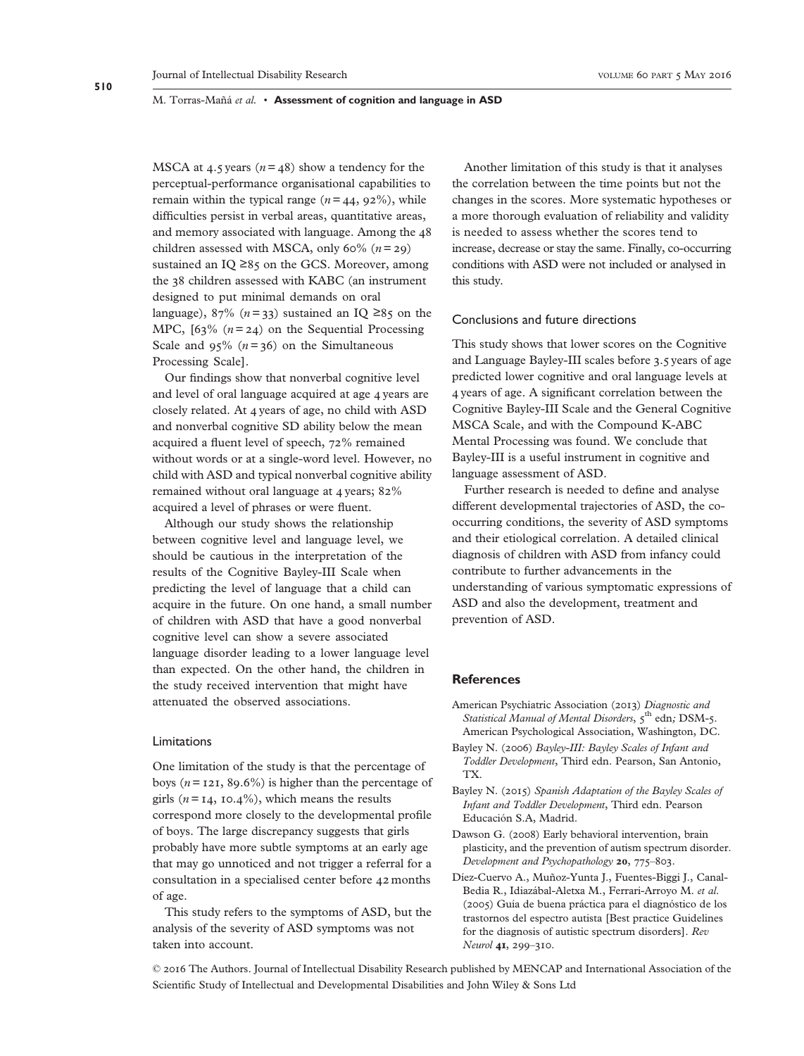MSCA at 4.5 years ( $n = 48$ ) show a tendency for the perceptual-performance organisational capabilities to remain within the typical range  $(n = 44, 92\%)$ , while difficulties persist in verbal areas, quantitative areas, and memory associated with language. Among the 48 children assessed with MSCA, only 60%  $(n=29)$ sustained an IQ ≥85 on the GCS. Moreover, among the 38 children assessed with KABC (an instrument designed to put minimal demands on oral language),  $87\%$  ( $n = 33$ ) sustained an IO ≥85 on the MPC,  $[63\% (n=24)$  on the Sequential Processing Scale and  $95\%$  ( $n = 36$ ) on the Simultaneous Processing Scale].

Our findings show that nonverbal cognitive level and level of oral language acquired at age 4 years are closely related. At 4 years of age, no child with ASD and nonverbal cognitive SD ability below the mean acquired a fluent level of speech, 72% remained without words or at a single-word level. However, no child with ASD and typical nonverbal cognitive ability remained without oral language at 4 years; 82% acquired a level of phrases or were fluent.

Although our study shows the relationship between cognitive level and language level, we should be cautious in the interpretation of the results of the Cognitive Bayley-III Scale when predicting the level of language that a child can acquire in the future. On one hand, a small number of children with ASD that have a good nonverbal cognitive level can show a severe associated language disorder leading to a lower language level than expected. On the other hand, the children in the study received intervention that might have attenuated the observed associations.

#### Limitations

One limitation of the study is that the percentage of boys ( $n = 121$ , 89.6%) is higher than the percentage of girls  $(n = 14, 10.4\%)$ , which means the results correspond more closely to the developmental profile of boys. The large discrepancy suggests that girls probably have more subtle symptoms at an early age that may go unnoticed and not trigger a referral for a consultation in a specialised center before 42 months of age.

This study refers to the symptoms of ASD, but the analysis of the severity of ASD symptoms was not taken into account.

Another limitation of this study is that it analyses the correlation between the time points but not the changes in the scores. More systematic hypotheses or a more thorough evaluation of reliability and validity is needed to assess whether the scores tend to increase, decrease or stay the same. Finally, co-occurring conditions with ASD were not included or analysed in this study.

#### Conclusions and future directions

This study shows that lower scores on the Cognitive and Language Bayley-III scales before 3.5 years of age predicted lower cognitive and oral language levels at 4 years of age. A significant correlation between the Cognitive Bayley-III Scale and the General Cognitive MSCA Scale, and with the Compound K-ABC Mental Processing was found. We conclude that Bayley-III is a useful instrument in cognitive and language assessment of ASD.

Further research is needed to define and analyse different developmental trajectories of ASD, the cooccurring conditions, the severity of ASD symptoms and their etiological correlation. A detailed clinical diagnosis of children with ASD from infancy could contribute to further advancements in the understanding of various symptomatic expressions of ASD and also the development, treatment and prevention of ASD.

#### **References**

- American Psychiatric Association (2013) Diagnostic and Statistical Manual of Mental Disorders, 5<sup>th</sup> edn; DSM-5. American Psychological Association, Washington, DC.
- Bayley N. (2006) Bayley-III: Bayley Scales of Infant and Toddler Development, Third edn. Pearson, San Antonio, TX.
- Bayley N. (2015) Spanish Adaptation of the Bayley Scales of Infant and Toddler Development, Third edn. Pearson Educación S.A, Madrid.
- Dawson G. (2008) Early behavioral intervention, brain plasticity, and the prevention of autism spectrum disorder. Development and Psychopathology 20, 775–803.
- Díez-Cuervo A., Muñoz-Yunta J., Fuentes-Biggi J., Canal-Bedia R., Idiazábal-Aletxa M., Ferrari-Arroyo M. et al. (2005) Guía de buena práctica para el diagnóstico de los trastornos del espectro autista [Best practice Guidelines for the diagnosis of autistic spectrum disorders]. Rev Neurol 41, 299–310.